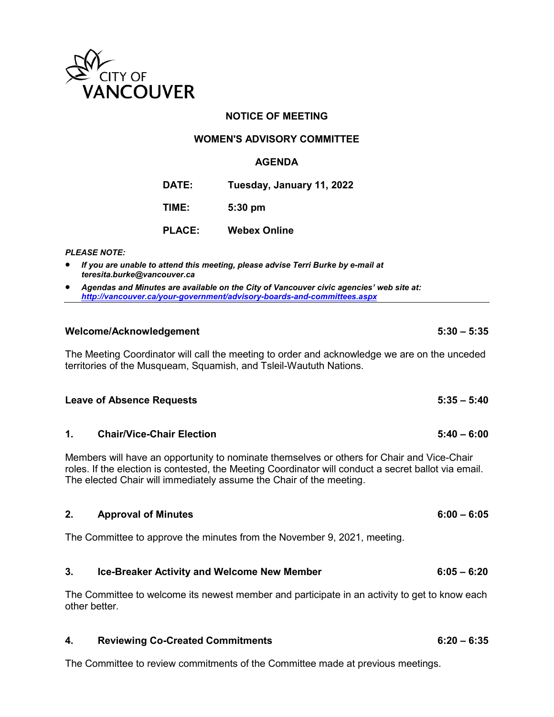

# **NOTICE OF MEETING**

### **WOMEN'S ADVISORY COMMITTEE**

#### **AGENDA**

**DATE: Tuesday, January 11, 2022**

**TIME: 5:30 pm**

**PLACE: Webex Online**

*PLEASE NOTE:*

- *If you are unable to attend this meeting, please advise Terri Burke by e-mail at teresita.burke@vancouver.ca*
- *Agendas and Minutes are available on the City of Vancouver civic agencies' web site at: <http://vancouver.ca/your-government/advisory-boards-and-committees.aspx>*

### **Welcome/Acknowledgement 5:30 – 5:35**

The Meeting Coordinator will call the meeting to order and acknowledge we are on the unceded territories of the Musqueam, Squamish, and Tsleil-Waututh Nations.

| Leave of Absence Requests | $5:35-5:40$ |
|---------------------------|-------------|
|                           |             |
|                           |             |

**1. Chair/Vice-Chair Election 5:40 – 6:00**

Members will have an opportunity to nominate themselves or others for Chair and Vice-Chair roles. If the election is contested, the Meeting Coordinator will conduct a secret ballot via email. The elected Chair will immediately assume the Chair of the meeting.

#### **2. Approval of Minutes 6:00 – 6:05**

The Committee to approve the minutes from the November 9, 2021, meeting.

# **3. Ice-Breaker Activity and Welcome New Member 6:05 – 6:20**

The Committee to welcome its newest member and participate in an activity to get to know each other better.

# **4. Reviewing Co-Created Commitments 6:20 – 6:35**

The Committee to review commitments of the Committee made at previous meetings.